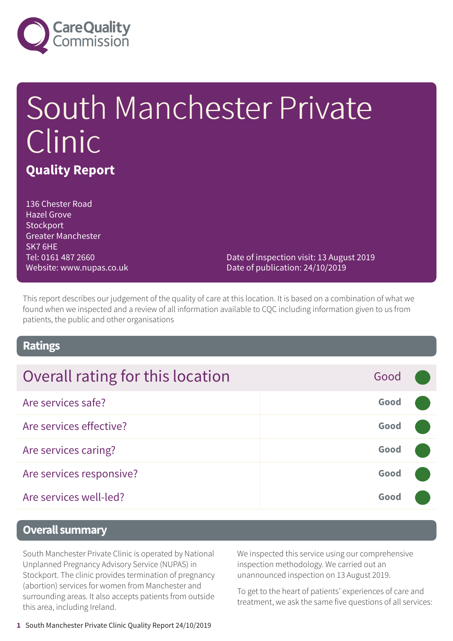

# South Manchester Private Clinic **Quality Report**

136 Chester Road Hazel Grove **Stockport** Greater Manchester SK7 6HE Tel: 0161 487 2660 Website: www.nupas.co.uk

Date of inspection visit: 13 August 2019 Date of publication: 24/10/2019

This report describes our judgement of the quality of care at this location. It is based on a combination of what we found when we inspected and a review of all information available to CQC including information given to us from patients, the public and other organisations

### **Ratings**

| Overall rating for this location | Good |  |
|----------------------------------|------|--|
| Are services safe?               | Good |  |
| Are services effective?          | Good |  |
| Are services caring?             | Good |  |
| Are services responsive?         | Good |  |
| Are services well-led?           | Good |  |

### **Overall summary**

South Manchester Private Clinic is operated by National Unplanned Pregnancy Advisory Service (NUPAS) in Stockport. The clinic provides termination of pregnancy (abortion) services for women from Manchester and surrounding areas. It also accepts patients from outside this area, including Ireland.

We inspected this service using our comprehensive inspection methodology. We carried out an unannounced inspection on 13 August 2019.

To get to the heart of patients' experiences of care and treatment, we ask the same five questions of all services: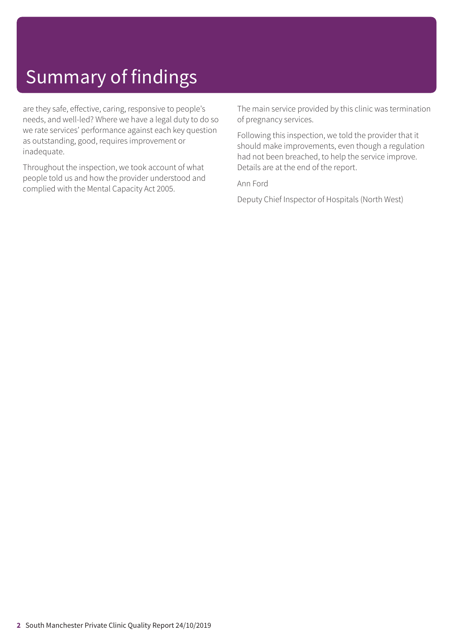# Summary of findings

are they safe, effective, caring, responsive to people's needs, and well-led? Where we have a legal duty to do so we rate services' performance against each key question as outstanding, good, requires improvement or inadequate.

Throughout the inspection, we took account of what people told us and how the provider understood and complied with the Mental Capacity Act 2005.

The main service provided by this clinic was termination of pregnancy services.

Following this inspection, we told the provider that it should make improvements, even though a regulation had not been breached, to help the service improve. Details are at the end of the report.

Ann Ford

Deputy Chief Inspector of Hospitals (North West)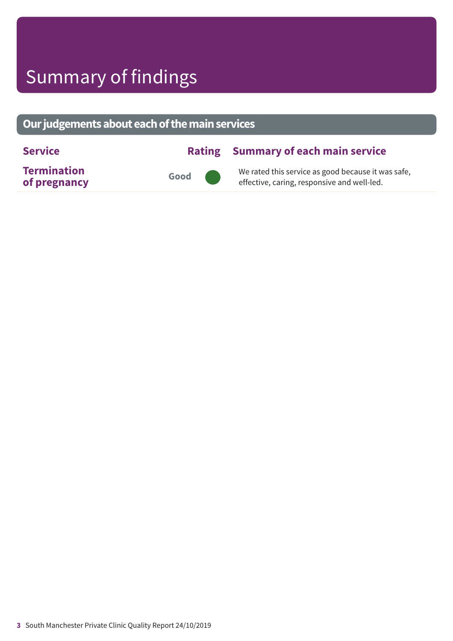# Summary of findings

### **Ourjudgementsabouteachofthemainservices**

| <b>Service</b>                     |      | <b>Rating Summary of each main service</b>                                                        |
|------------------------------------|------|---------------------------------------------------------------------------------------------------|
| <b>Termination</b><br>of pregnancy | Good | We rated this service as good because it was safe,<br>effective, caring, responsive and well-led. |

**3** South Manchester Private Clinic Quality Report 24/10/2019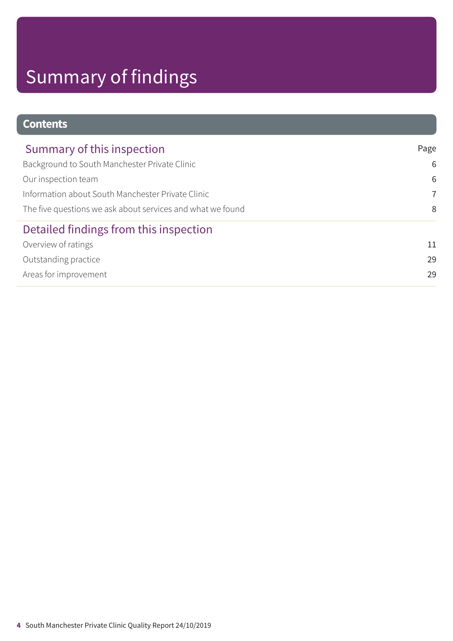# Summary of findings

### **Contents**

| Summary of this inspection                                 | Page           |
|------------------------------------------------------------|----------------|
| Background to South Manchester Private Clinic              | 6              |
| Our inspection team                                        | 6              |
| Information about South Manchester Private Clinic          | $\overline{7}$ |
| The five questions we ask about services and what we found | 8              |
| Detailed findings from this inspection                     |                |
| Overview of ratings                                        | 11             |
| Outstanding practice                                       | 29             |
| Areas for improvement                                      | 29             |
|                                                            |                |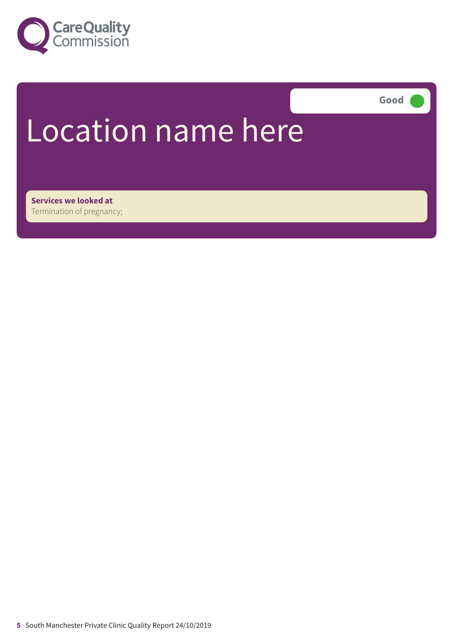

**Good –––**

# Location name here

**Services we looked at** Termination of pregnancy;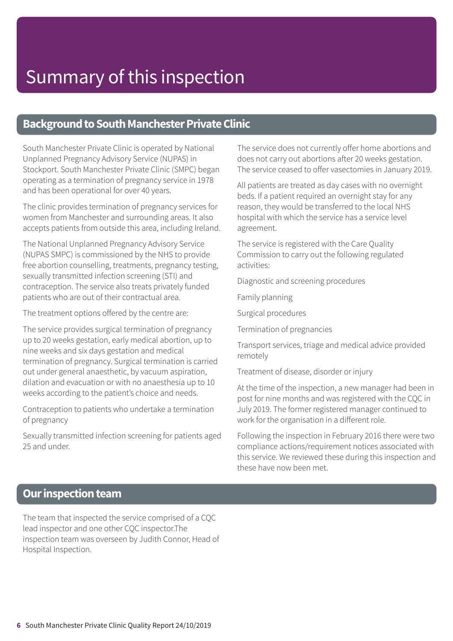### **Background to South Manchester Private Clinic**

South Manchester Private Clinic is operated by National Unplanned Pregnancy Advisory Service (NUPAS) in Stockport. South Manchester Private Clinic (SMPC) began operating as a termination of pregnancy service in 1978 and has been operational for over 40 years.

The clinic provides termination of pregnancy services for women from Manchester and surrounding areas. It also accepts patients from outside this area, including Ireland.

The National Unplanned Pregnancy Advisory Service (NUPAS SMPC) is commissioned by the NHS to provide free abortion counselling, treatments, pregnancy testing, sexually transmitted infection screening (STI) and contraception. The service also treats privately funded patients who are out of their contractual area.

The treatment options offered by the centre are:

The service provides surgical termination of pregnancy up to 20 weeks gestation, early medical abortion, up to nine weeks and six days gestation and medical termination of pregnancy. Surgical termination is carried out under general anaesthetic, by vacuum aspiration, dilation and evacuation or with no anaesthesia up to 10 weeks according to the patient's choice and needs.

Contraception to patients who undertake a termination of pregnancy

Sexually transmitted infection screening for patients aged 25 and under.

The service does not currently offer home abortions and does not carry out abortions after 20 weeks gestation. The service ceased to offer vasectomies in January 2019.

All patients are treated as day cases with no overnight beds. If a patient required an overnight stay for any reason, they would be transferred to the local NHS hospital with which the service has a service level agreement.

The service is registered with the Care Quality Commission to carry out the following regulated activities:

Diagnostic and screening procedures

Family planning

Surgical procedures

Termination of pregnancies

Transport services, triage and medical advice provided remotely

Treatment of disease, disorder or injury

At the time of the inspection, a new manager had been in post for nine months and was registered with the CQC in July 2019. The former registered manager continued to work for the organisation in a different role.

Following the inspection in February 2016 there were two compliance actions/requirement notices associated with this service. We reviewed these during this inspection and these have now been met.

### **Our inspection team**

The team that inspected the service comprised of a CQC lead inspector and one other CQC inspector.The inspection team was overseen by Judith Connor, Head of Hospital Inspection.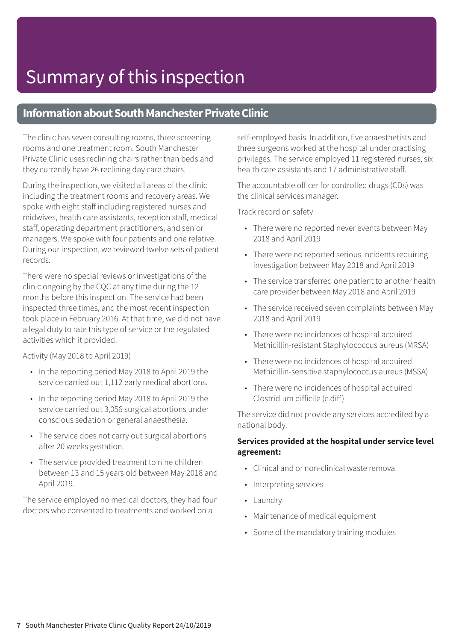### **Information about South Manchester Private Clinic**

The clinic has seven consulting rooms, three screening rooms and one treatment room. South Manchester Private Clinic uses reclining chairs rather than beds and they currently have 26 reclining day care chairs.

During the inspection, we visited all areas of the clinic including the treatment rooms and recovery areas. We spoke with eight staff including registered nurses and midwives, health care assistants, reception staff, medical staff, operating department practitioners, and senior managers. We spoke with four patients and one relative. During our inspection, we reviewed twelve sets of patient records.

There were no special reviews or investigations of the clinic ongoing by the CQC at any time during the 12 months before this inspection. The service had been inspected three times, and the most recent inspection took place in February 2016. At that time, we did not have a legal duty to rate this type of service or the regulated activities which it provided.

Activity (May 2018 to April 2019)

- In the reporting period May 2018 to April 2019 the service carried out 1,112 early medical abortions.
- In the reporting period May 2018 to April 2019 the service carried out 3,056 surgical abortions under conscious sedation or general anaesthesia.
- The service does not carry out surgical abortions after 20 weeks gestation.
- The service provided treatment to nine children between 13 and 15 years old between May 2018 and April 2019.

The service employed no medical doctors, they had four doctors who consented to treatments and worked on a

self-employed basis. In addition, five anaesthetists and three surgeons worked at the hospital under practising privileges. The service employed 11 registered nurses, six health care assistants and 17 administrative staff.

The accountable officer for controlled drugs (CDs) was the clinical services manager.

Track record on safety

- There were no reported never events between May 2018 and April 2019
- There were no reported serious incidents requiring investigation between May 2018 and April 2019
- The service transferred one patient to another health care provider between May 2018 and April 2019
- The service received seven complaints between May 2018 and April 2019
- There were no incidences of hospital acquired Methicillin-resistant Staphylococcus aureus (MRSA)
- There were no incidences of hospital acquired Methicillin-sensitive staphylococcus aureus (MSSA)
- There were no incidences of hospital acquired Clostridium difficile (c.diff)

The service did not provide any services accredited by a national body.

### **Services provided at the hospital under service level agreement:**

- Clinical and or non-clinical waste removal
- Interpreting services
- Laundry
- Maintenance of medical equipment
- Some of the mandatory training modules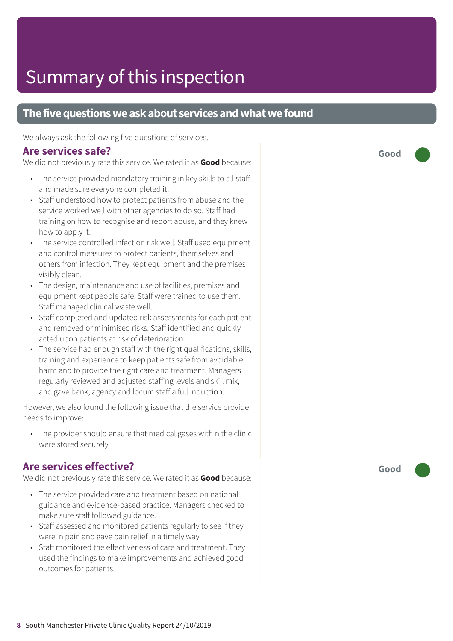### **The five questions we ask about services and what we found**

We always ask the following five questions of services.

### **Are services safe?**

We did not previously rate this service. We rated it as **Good** because:

- The service provided mandatory training in key skills to all staff and made sure everyone completed it.
- Staff understood how to protect patients from abuse and the service worked well with other agencies to do so. Staff had training on how to recognise and report abuse, and they knew how to apply it.
- The service controlled infection risk well. Staff used equipment and control measures to protect patients, themselves and others from infection. They kept equipment and the premises visibly clean.
- The design, maintenance and use of facilities, premises and equipment kept people safe. Staff were trained to use them. Staff managed clinical waste well.
- Staff completed and updated risk assessments for each patient and removed or minimised risks. Staff identified and quickly acted upon patients at risk of deterioration.
- The service had enough staff with the right qualifications, skills, training and experience to keep patients safe from avoidable harm and to provide the right care and treatment. Managers regularly reviewed and adjusted staffing levels and skill mix, and gave bank, agency and locum staff a full induction.

However, we also found the following issue that the service provider needs to improve:

• The provider should ensure that medical gases within the clinic were stored securely.

### **Are services effective?**

We did not previously rate this service. We rated it as **Good** because:

- The service provided care and treatment based on national guidance and evidence-based practice. Managers checked to make sure staff followed guidance.
- Staff assessed and monitored patients regularly to see if they were in pain and gave pain relief in a timely way.
- Staff monitored the effectiveness of care and treatment. They used the findings to make improvements and achieved good outcomes for patients.

**Good –––**

**Good –––**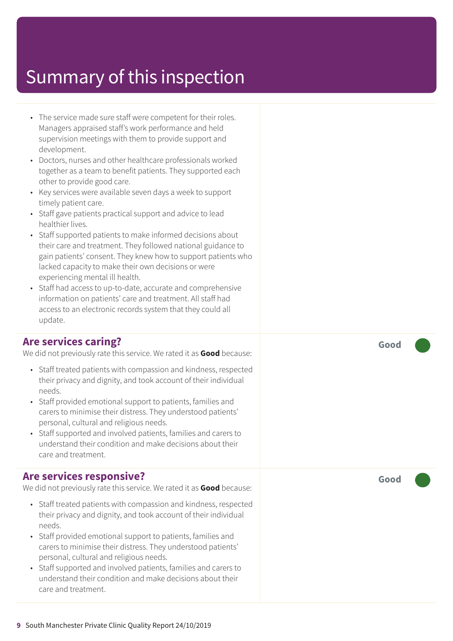- The service made sure staff were competent for their roles. Managers appraised staff's work performance and held supervision meetings with them to provide support and development.
- Doctors, nurses and other healthcare professionals worked together as a team to benefit patients. They supported each other to provide good care.
- Key services were available seven days a week to support timely patient care.
- Staff gave patients practical support and advice to lead healthier lives.
- Staff supported patients to make informed decisions about their care and treatment. They followed national guidance to gain patients' consent. They knew how to support patients who lacked capacity to make their own decisions or were experiencing mental ill health.
- Staff had access to up-to-date, accurate and comprehensive information on patients' care and treatment. All staff had access to an electronic records system that they could all update.

### **Are services caring?**

We did not previously rate this service. We rated it as **Good** because:

- Staff treated patients with compassion and kindness, respected their privacy and dignity, and took account of their individual needs.
- Staff provided emotional support to patients, families and carers to minimise their distress. They understood patients' personal, cultural and religious needs.
- Staff supported and involved patients, families and carers to understand their condition and make decisions about their care and treatment.

### **Are services responsive?**

We did not previously rate this service. We rated it as **Good** because:

- Staff treated patients with compassion and kindness, respected their privacy and dignity, and took account of their individual needs.
- Staff provided emotional support to patients, families and carers to minimise their distress. They understood patients' personal, cultural and religious needs.
- Staff supported and involved patients, families and carers to understand their condition and make decisions about their care and treatment.

**Good –––**

**Good –––**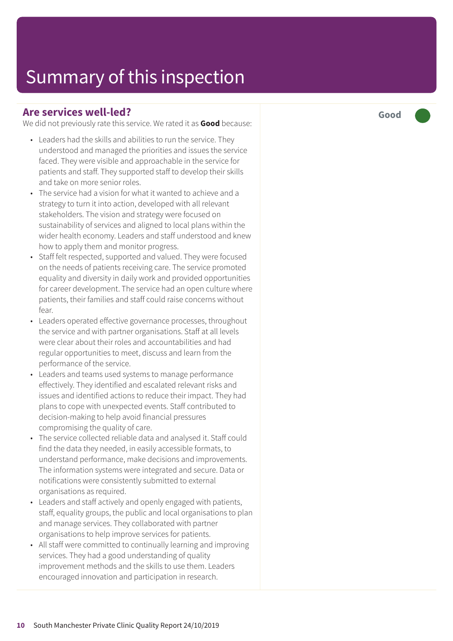### **Are services well-led?**

We did not previously rate this service. We rated it as **Good** because:

- Leaders had the skills and abilities to run the service. They understood and managed the priorities and issues the service faced. They were visible and approachable in the service for patients and staff. They supported staff to develop their skills and take on more senior roles.
- The service had a vision for what it wanted to achieve and a strategy to turn it into action, developed with all relevant stakeholders. The vision and strategy were focused on sustainability of services and aligned to local plans within the wider health economy. Leaders and staff understood and knew how to apply them and monitor progress.
- Staff felt respected, supported and valued. They were focused on the needs of patients receiving care. The service promoted equality and diversity in daily work and provided opportunities for career development. The service had an open culture where patients, their families and staff could raise concerns without fear.
- Leaders operated effective governance processes, throughout the service and with partner organisations. Staff at all levels were clear about their roles and accountabilities and had regular opportunities to meet, discuss and learn from the performance of the service.
- Leaders and teams used systems to manage performance effectively. They identified and escalated relevant risks and issues and identified actions to reduce their impact. They had plans to cope with unexpected events. Staff contributed to decision-making to help avoid financial pressures compromising the quality of care.
- The service collected reliable data and analysed it. Staff could find the data they needed, in easily accessible formats, to understand performance, make decisions and improvements. The information systems were integrated and secure. Data or notifications were consistently submitted to external organisations as required.
- Leaders and staff actively and openly engaged with patients, staff, equality groups, the public and local organisations to plan and manage services. They collaborated with partner organisations to help improve services for patients.
- All staff were committed to continually learning and improving services. They had a good understanding of quality improvement methods and the skills to use them. Leaders encouraged innovation and participation in research.

**Good –––**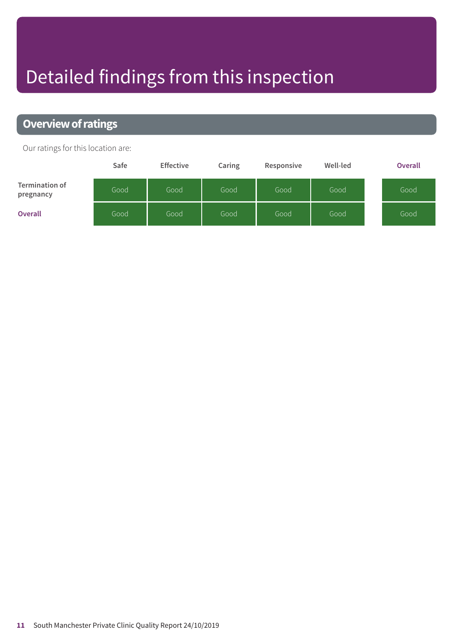# Detailed findings from this inspection

### **Overview of ratings**

Our ratings for this location are:

|                                    | Safe | <b>Effective</b> | Caring | Responsive | Well-led | <b>Overall</b> |
|------------------------------------|------|------------------|--------|------------|----------|----------------|
| <b>Termination of</b><br>pregnancy | Good | Good             | Good   | Good       | Good     | Good           |
| <b>Overall</b>                     | Good | Good             | Good   | Good       | Good     | Good           |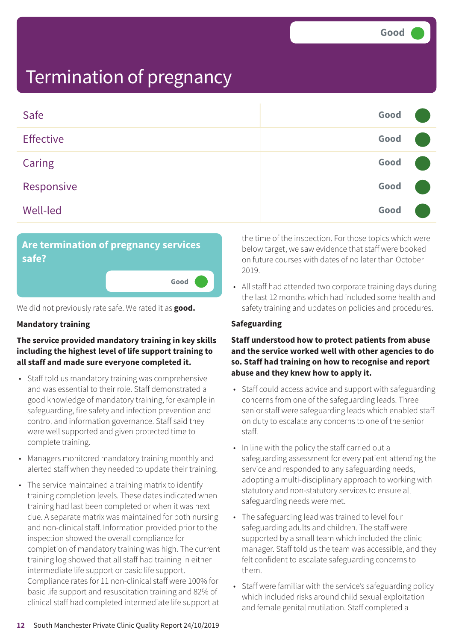| Safe             | Good |  |
|------------------|------|--|
| <b>Effective</b> | Good |  |
| Caring           | Good |  |
| Responsive       | Good |  |
| <b>Well-led</b>  | Good |  |



We did not previously rate safe. We rated it as **good.**

### **Mandatory training**

### **The service provided mandatory training in key skills including the highest level of life support training to all staff and made sure everyone completed it.**

- Staff told us mandatory training was comprehensive and was essential to their role. Staff demonstrated a good knowledge of mandatory training, for example in safeguarding, fire safety and infection prevention and control and information governance. Staff said they were well supported and given protected time to complete training.
- Managers monitored mandatory training monthly and alerted staff when they needed to update their training.
- The service maintained a training matrix to identify training completion levels. These dates indicated when training had last been completed or when it was next due. A separate matrix was maintained for both nursing and non-clinical staff. Information provided prior to the inspection showed the overall compliance for completion of mandatory training was high. The current training log showed that all staff had training in either intermediate life support or basic life support. Compliance rates for 11 non-clinical staff were 100% for basic life support and resuscitation training and 82% of clinical staff had completed intermediate life support at

the time of the inspection. For those topics which were below target, we saw evidence that staff were booked on future courses with dates of no later than October 2019.

• All staff had attended two corporate training days during the last 12 months which had included some health and safety training and updates on policies and procedures.

### **Safeguarding**

### **Staff understood how to protect patients from abuse and the service worked well with other agencies to do so. Staff had training on how to recognise and report abuse and they knew how to apply it.**

- Staff could access advice and support with safeguarding concerns from one of the safeguarding leads. Three senior staff were safeguarding leads which enabled staff on duty to escalate any concerns to one of the senior staff.
- In line with the policy the staff carried out a safeguarding assessment for every patient attending the service and responded to any safeguarding needs, adopting a multi-disciplinary approach to working with statutory and non-statutory services to ensure all safeguarding needs were met.
- The safeguarding lead was trained to level four safeguarding adults and children. The staff were supported by a small team which included the clinic manager. Staff told us the team was accessible, and they felt confident to escalate safeguarding concerns to them.
- Staff were familiar with the service's safeguarding policy which included risks around child sexual exploitation and female genital mutilation. Staff completed a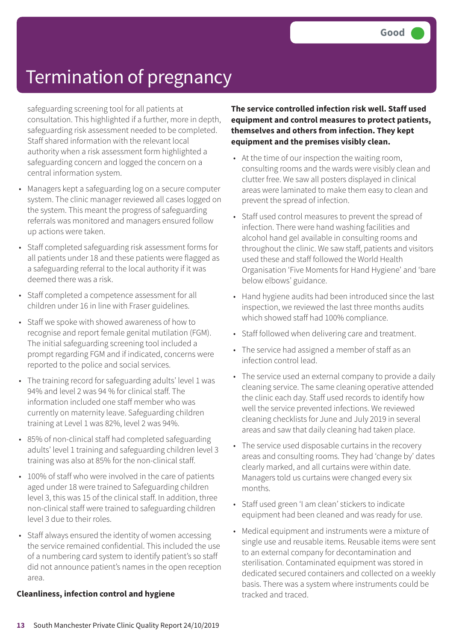safeguarding screening tool for all patients at consultation. This highlighted if a further, more in depth, safeguarding risk assessment needed to be completed. Staff shared information with the relevant local authority when a risk assessment form highlighted a safeguarding concern and logged the concern on a central information system.

- Managers kept a safeguarding log on a secure computer system. The clinic manager reviewed all cases logged on the system. This meant the progress of safeguarding referrals was monitored and managers ensured follow up actions were taken.
- Staff completed safeguarding risk assessment forms for all patients under 18 and these patients were flagged as a safeguarding referral to the local authority if it was deemed there was a risk.
- Staff completed a competence assessment for all children under 16 in line with Fraser guidelines.
- Staff we spoke with showed awareness of how to recognise and report female genital mutilation (FGM). The initial safeguarding screening tool included a prompt regarding FGM and if indicated, concerns were reported to the police and social services.
- The training record for safeguarding adults' level 1 was 94% and level 2 was 94 % for clinical staff. The information included one staff member who was currently on maternity leave. Safeguarding children training at Level 1 was 82%, level 2 was 94%.
- 85% of non-clinical staff had completed safeguarding adults' level 1 training and safeguarding children level 3 training was also at 85% for the non-clinical staff.
- 100% of staff who were involved in the care of patients aged under 18 were trained to Safeguarding children level 3, this was 15 of the clinical staff. In addition, three non-clinical staff were trained to safeguarding children level 3 due to their roles.
- Staff always ensured the identity of women accessing the service remained confidential. This included the use of a numbering card system to identify patient's so staff did not announce patient's names in the open reception area.

### **Cleanliness, infection control and hygiene**

**The service controlled infection risk well. Staff used equipment and control measures to protect patients, themselves and others from infection. They kept equipment and the premises visibly clean.**

- At the time of our inspection the waiting room, consulting rooms and the wards were visibly clean and clutter free. We saw all posters displayed in clinical areas were laminated to make them easy to clean and prevent the spread of infection.
- Staff used control measures to prevent the spread of infection. There were hand washing facilities and alcohol hand gel available in consulting rooms and throughout the clinic. We saw staff, patients and visitors used these and staff followed the World Health Organisation 'Five Moments for Hand Hygiene' and 'bare below elbows' guidance.
- Hand hygiene audits had been introduced since the last inspection, we reviewed the last three months audits which showed staff had 100% compliance.
- Staff followed when delivering care and treatment.
- The service had assigned a member of staff as an infection control lead.
- The service used an external company to provide a daily cleaning service. The same cleaning operative attended the clinic each day. Staff used records to identify how well the service prevented infections. We reviewed cleaning checklists for June and July 2019 in several areas and saw that daily cleaning had taken place.
- The service used disposable curtains in the recovery areas and consulting rooms. They had 'change by' dates clearly marked, and all curtains were within date. Managers told us curtains were changed every six months.
- Staff used green 'I am clean' stickers to indicate equipment had been cleaned and was ready for use.
- Medical equipment and instruments were a mixture of single use and reusable items. Reusable items were sent to an external company for decontamination and sterilisation. Contaminated equipment was stored in dedicated secured containers and collected on a weekly basis. There was a system where instruments could be tracked and traced.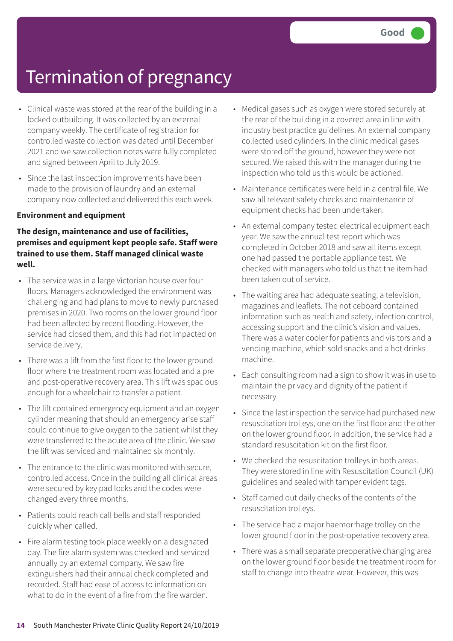- Clinical waste was stored at the rear of the building in a locked outbuilding. It was collected by an external company weekly. The certificate of registration for controlled waste collection was dated until December 2021 and we saw collection notes were fully completed and signed between April to July 2019.
- Since the last inspection improvements have been made to the provision of laundry and an external company now collected and delivered this each week.

#### **Environment and equipment**

### **The design, maintenance and use of facilities, premises and equipment kept people safe. Staff were trained to use them. Staff managed clinical waste well.**

- The service was in a large Victorian house over four floors. Managers acknowledged the environment was challenging and had plans to move to newly purchased premises in 2020. Two rooms on the lower ground floor had been affected by recent flooding. However, the service had closed them, and this had not impacted on service delivery.
- There was a lift from the first floor to the lower ground floor where the treatment room was located and a pre and post-operative recovery area. This lift was spacious enough for a wheelchair to transfer a patient.
- The lift contained emergency equipment and an oxygen cylinder meaning that should an emergency arise staff could continue to give oxygen to the patient whilst they were transferred to the acute area of the clinic. We saw the lift was serviced and maintained six monthly.
- The entrance to the clinic was monitored with secure, controlled access. Once in the building all clinical areas were secured by key pad locks and the codes were changed every three months.
- Patients could reach call bells and staff responded quickly when called.
- Fire alarm testing took place weekly on a designated day. The fire alarm system was checked and serviced annually by an external company. We saw fire extinguishers had their annual check completed and recorded. Staff had ease of access to information on what to do in the event of a fire from the fire warden.
- Medical gases such as oxygen were stored securely at the rear of the building in a covered area in line with industry best practice guidelines. An external company collected used cylinders. In the clinic medical gases were stored off the ground, however they were not secured. We raised this with the manager during the inspection who told us this would be actioned.
- Maintenance certificates were held in a central file. We saw all relevant safety checks and maintenance of equipment checks had been undertaken.
- An external company tested electrical equipment each year. We saw the annual test report which was completed in October 2018 and saw all items except one had passed the portable appliance test. We checked with managers who told us that the item had been taken out of service.
- The waiting area had adequate seating, a television, magazines and leaflets. The noticeboard contained information such as health and safety, infection control, accessing support and the clinic's vision and values. There was a water cooler for patients and visitors and a vending machine, which sold snacks and a hot drinks machine.
- Each consulting room had a sign to show it was in use to maintain the privacy and dignity of the patient if necessary.
- Since the last inspection the service had purchased new resuscitation trolleys, one on the first floor and the other on the lower ground floor. In addition, the service had a standard resuscitation kit on the first floor.
- We checked the resuscitation trolleys in both areas. They were stored in line with Resuscitation Council (UK) guidelines and sealed with tamper evident tags.
- Staff carried out daily checks of the contents of the resuscitation trolleys.
- The service had a major haemorrhage trolley on the lower ground floor in the post-operative recovery area.
- There was a small separate preoperative changing area on the lower ground floor beside the treatment room for staff to change into theatre wear. However, this was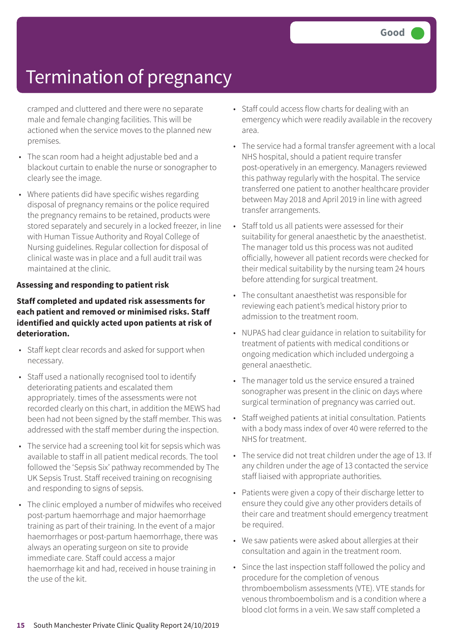cramped and cluttered and there were no separate male and female changing facilities. This will be actioned when the service moves to the planned new premises.

- The scan room had a height adjustable bed and a blackout curtain to enable the nurse or sonographer to clearly see the image.
- Where patients did have specific wishes regarding disposal of pregnancy remains or the police required the pregnancy remains to be retained, products were stored separately and securely in a locked freezer, in line with Human Tissue Authority and Royal College of Nursing guidelines. Regular collection for disposal of clinical waste was in place and a full audit trail was maintained at the clinic.

### **Assessing and responding to patient risk**

### **Staff completed and updated risk assessments for each patient and removed or minimised risks. Staff identified and quickly acted upon patients at risk of deterioration.**

- Staff kept clear records and asked for support when necessary.
- Staff used a nationally recognised tool to identify deteriorating patients and escalated them appropriately. times of the assessments were not recorded clearly on this chart, in addition the MEWS had been had not been signed by the staff member. This was addressed with the staff member during the inspection.
- The service had a screening tool kit for sepsis which was available to staff in all patient medical records. The tool followed the 'Sepsis Six' pathway recommended by The UK Sepsis Trust. Staff received training on recognising and responding to signs of sepsis.
- The clinic employed a number of midwifes who received post-partum haemorrhage and major haemorrhage training as part of their training. In the event of a major haemorrhages or post-partum haemorrhage, there was always an operating surgeon on site to provide immediate care. Staff could access a major haemorrhage kit and had, received in house training in the use of the kit.
- Staff could access flow charts for dealing with an emergency which were readily available in the recovery area.
- The service had a formal transfer agreement with a local NHS hospital, should a patient require transfer post-operatively in an emergency. Managers reviewed this pathway regularly with the hospital. The service transferred one patient to another healthcare provider between May 2018 and April 2019 in line with agreed transfer arrangements.
- Staff told us all patients were assessed for their suitability for general anaesthetic by the anaesthetist. The manager told us this process was not audited officially, however all patient records were checked for their medical suitability by the nursing team 24 hours before attending for surgical treatment.
- The consultant anaesthetist was responsible for reviewing each patient's medical history prior to admission to the treatment room.
- NUPAS had clear guidance in relation to suitability for treatment of patients with medical conditions or ongoing medication which included undergoing a general anaesthetic.
- The manager told us the service ensured a trained sonographer was present in the clinic on days where surgical termination of pregnancy was carried out.
- Staff weighed patients at initial consultation. Patients with a body mass index of over 40 were referred to the NHS for treatment.
- The service did not treat children under the age of 13. If any children under the age of 13 contacted the service staff liaised with appropriate authorities.
- Patients were given a copy of their discharge letter to ensure they could give any other providers details of their care and treatment should emergency treatment be required.
- We saw patients were asked about allergies at their consultation and again in the treatment room.
- Since the last inspection staff followed the policy and procedure for the completion of venous thromboembolism assessments (VTE). VTE stands for venous thromboembolism and is a condition where a blood clot forms in a vein. We saw staff completed a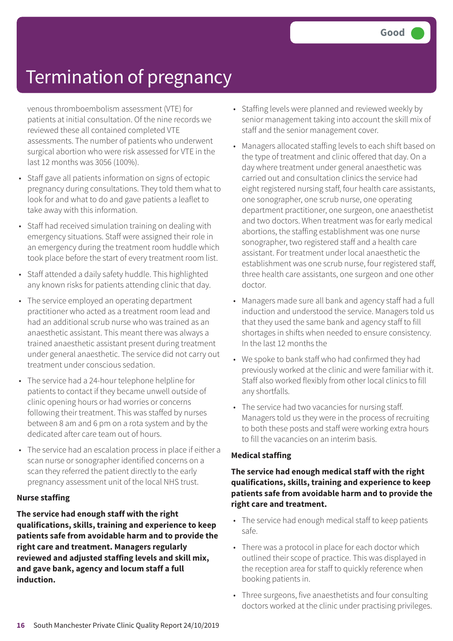venous thromboembolism assessment (VTE) for patients at initial consultation. Of the nine records we reviewed these all contained completed VTE assessments. The number of patients who underwent surgical abortion who were risk assessed for VTE in the last 12 months was 3056 (100%).

- Staff gave all patients information on signs of ectopic pregnancy during consultations. They told them what to look for and what to do and gave patients a leaflet to take away with this information.
- Staff had received simulation training on dealing with emergency situations. Staff were assigned their role in an emergency during the treatment room huddle which took place before the start of every treatment room list.
- Staff attended a daily safety huddle. This highlighted any known risks for patients attending clinic that day.
- The service employed an operating department practitioner who acted as a treatment room lead and had an additional scrub nurse who was trained as an anaesthetic assistant. This meant there was always a trained anaesthetic assistant present during treatment under general anaesthetic. The service did not carry out treatment under conscious sedation.
- The service had a 24-hour telephone helpline for patients to contact if they became unwell outside of clinic opening hours or had worries or concerns following their treatment. This was staffed by nurses between 8 am and 6 pm on a rota system and by the dedicated after care team out of hours.
- The service had an escalation process in place if either a scan nurse or sonographer identified concerns on a scan they referred the patient directly to the early pregnancy assessment unit of the local NHS trust.

### **Nurse staffing**

**The service had enough staff with the right qualifications, skills, training and experience to keep patients safe from avoidable harm and to provide the right care and treatment. Managers regularly reviewed and adjusted staffing levels and skill mix, and gave bank, agency and locum staff a full induction.**

- Staffing levels were planned and reviewed weekly by senior management taking into account the skill mix of staff and the senior management cover.
- Managers allocated staffing levels to each shift based on the type of treatment and clinic offered that day. On a day where treatment under general anaesthetic was carried out and consultation clinics the service had eight registered nursing staff, four health care assistants, one sonographer, one scrub nurse, one operating department practitioner, one surgeon, one anaesthetist and two doctors. When treatment was for early medical abortions, the staffing establishment was one nurse sonographer, two registered staff and a health care assistant. For treatment under local anaesthetic the establishment was one scrub nurse, four registered staff, three health care assistants, one surgeon and one other doctor.
- Managers made sure all bank and agency staff had a full induction and understood the service. Managers told us that they used the same bank and agency staff to fill shortages in shifts when needed to ensure consistency. In the last 12 months the
- We spoke to bank staff who had confirmed they had previously worked at the clinic and were familiar with it. Staff also worked flexibly from other local clinics to fill any shortfalls.
- The service had two vacancies for nursing staff. Managers told us they were in the process of recruiting to both these posts and staff were working extra hours to fill the vacancies on an interim basis.

### **Medical staffing**

### **The service had enough medical staff with the right qualifications, skills, training and experience to keep patients safe from avoidable harm and to provide the right care and treatment.**

- The service had enough medical staff to keep patients safe.
- There was a protocol in place for each doctor which outlined their scope of practice. This was displayed in the reception area for staff to quickly reference when booking patients in.
- Three surgeons, five anaesthetists and four consulting doctors worked at the clinic under practising privileges.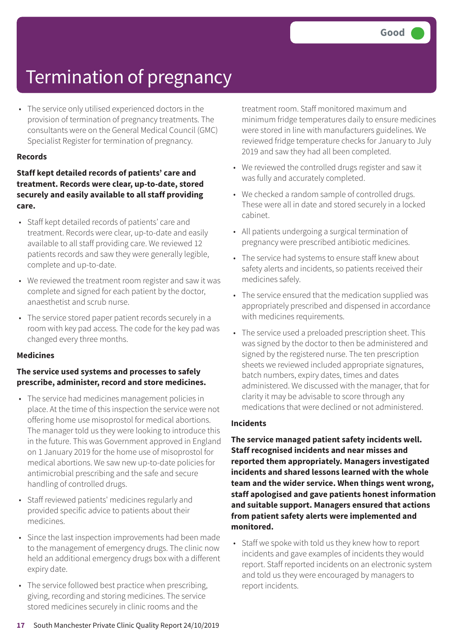• The service only utilised experienced doctors in the provision of termination of pregnancy treatments. The consultants were on the General Medical Council (GMC) Specialist Register for termination of pregnancy.

#### **Records**

### **Staff kept detailed records of patients' care and treatment. Records were clear, up-to-date, stored securely and easily available to all staff providing care.**

- Staff kept detailed records of patients' care and treatment. Records were clear, up-to-date and easily available to all staff providing care. We reviewed 12 patients records and saw they were generally legible, complete and up-to-date.
- We reviewed the treatment room register and saw it was complete and signed for each patient by the doctor, anaesthetist and scrub nurse.
- The service stored paper patient records securely in a room with key pad access. The code for the key pad was changed every three months.

### **Medicines**

### **The service used systems and processes to safely prescribe, administer, record and store medicines.**

- The service had medicines management policies in place. At the time of this inspection the service were not offering home use misoprostol for medical abortions. The manager told us they were looking to introduce this in the future. This was Government approved in England on 1 January 2019 for the home use of misoprostol for medical abortions. We saw new up-to-date policies for antimicrobial prescribing and the safe and secure handling of controlled drugs.
- Staff reviewed patients' medicines regularly and provided specific advice to patients about their medicines.
- Since the last inspection improvements had been made to the management of emergency drugs. The clinic now held an additional emergency drugs box with a different expiry date.
- The service followed best practice when prescribing, giving, recording and storing medicines. The service stored medicines securely in clinic rooms and the

treatment room. Staff monitored maximum and minimum fridge temperatures daily to ensure medicines were stored in line with manufacturers guidelines. We reviewed fridge temperature checks for January to July 2019 and saw they had all been completed.

- We reviewed the controlled drugs register and saw it was fully and accurately completed.
- We checked a random sample of controlled drugs. These were all in date and stored securely in a locked cabinet.
- All patients undergoing a surgical termination of pregnancy were prescribed antibiotic medicines.
- The service had systems to ensure staff knew about safety alerts and incidents, so patients received their medicines safely.
- The service ensured that the medication supplied was appropriately prescribed and dispensed in accordance with medicines requirements.
- The service used a preloaded prescription sheet. This was signed by the doctor to then be administered and signed by the registered nurse. The ten prescription sheets we reviewed included appropriate signatures, batch numbers, expiry dates, times and dates administered. We discussed with the manager, that for clarity it may be advisable to score through any medications that were declined or not administered.

### **Incidents**

**The service managed patient safety incidents well. Staff recognised incidents and near misses and reported them appropriately. Managers investigated incidents and shared lessons learned with the whole team and the wider service. When things went wrong, staff apologised and gave patients honest information and suitable support. Managers ensured that actions from patient safety alerts were implemented and monitored.**

• Staff we spoke with told us they knew how to report incidents and gave examples of incidents they would report. Staff reported incidents on an electronic system and told us they were encouraged by managers to report incidents.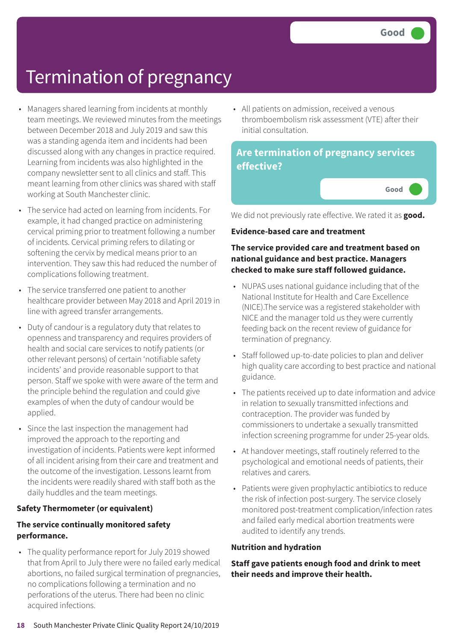**Good –––**

### Termination of pregnancy

- Managers shared learning from incidents at monthly team meetings. We reviewed minutes from the meetings between December 2018 and July 2019 and saw this was a standing agenda item and incidents had been discussed along with any changes in practice required. Learning from incidents was also highlighted in the company newsletter sent to all clinics and staff. This meant learning from other clinics was shared with staff working at South Manchester clinic.
- The service had acted on learning from incidents. For example, it had changed practice on administering cervical priming prior to treatment following a number of incidents. Cervical priming refers to dilating or softening the cervix by medical means prior to an intervention. They saw this had reduced the number of complications following treatment.
- The service transferred one patient to another healthcare provider between May 2018 and April 2019 in line with agreed transfer arrangements.
- Duty of candour is a regulatory duty that relates to openness and transparency and requires providers of health and social care services to notify patients (or other relevant persons) of certain 'notifiable safety incidents' and provide reasonable support to that person. Staff we spoke with were aware of the term and the principle behind the regulation and could give examples of when the duty of candour would be applied.
- Since the last inspection the management had improved the approach to the reporting and investigation of incidents. Patients were kept informed of all incident arising from their care and treatment and the outcome of the investigation. Lessons learnt from the incidents were readily shared with staff both as the daily huddles and the team meetings.

### **Safety Thermometer (or equivalent)**

### **The service continually monitored safety performance.**

• The quality performance report for July 2019 showed that from April to July there were no failed early medical abortions, no failed surgical termination of pregnancies, no complications following a termination and no perforations of the uterus. There had been no clinic acquired infections.

• All patients on admission, received a venous thromboembolism risk assessment (VTE) after their initial consultation.

### **Are termination of pregnancy services effective?**

We did not previously rate effective. We rated it as **good.**

#### **Evidence-based care and treatment**

### **The service provided care and treatment based on national guidance and best practice. Managers checked to make sure staff followed guidance.**

- NUPAS uses national guidance including that of the National Institute for Health and Care Excellence (NICE).The service was a registered stakeholder with NICE and the manager told us they were currently feeding back on the recent review of guidance for termination of pregnancy.
- Staff followed up-to-date policies to plan and deliver high quality care according to best practice and national guidance.
- The patients received up to date information and advice in relation to sexually transmitted infections and contraception. The provider was funded by commissioners to undertake a sexually transmitted infection screening programme for under 25-year olds.
- At handover meetings, staff routinely referred to the psychological and emotional needs of patients, their relatives and carers.
- Patients were given prophylactic antibiotics to reduce the risk of infection post-surgery. The service closely monitored post-treatment complication/infection rates and failed early medical abortion treatments were audited to identify any trends.

#### **Nutrition and hydration**

**Staff gave patients enough food and drink to meet their needs and improve their health.**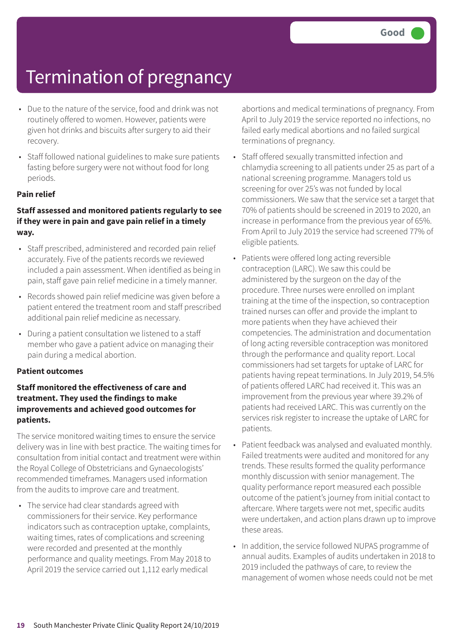- Due to the nature of the service, food and drink was not routinely offered to women. However, patients were given hot drinks and biscuits after surgery to aid their recovery.
- Staff followed national guidelines to make sure patients fasting before surgery were not without food for long periods.

### **Pain relief**

### **Staff assessed and monitored patients regularly to see if they were in pain and gave pain relief in a timely way.**

- Staff prescribed, administered and recorded pain relief accurately. Five of the patients records we reviewed included a pain assessment. When identified as being in pain, staff gave pain relief medicine in a timely manner.
- Records showed pain relief medicine was given before a patient entered the treatment room and staff prescribed additional pain relief medicine as necessary.
- During a patient consultation we listened to a staff member who gave a patient advice on managing their pain during a medical abortion.

#### **Patient outcomes**

### **Staff monitored the effectiveness of care and treatment. They used the findings to make improvements and achieved good outcomes for patients.**

The service monitored waiting times to ensure the service delivery was in line with best practice. The waiting times for consultation from initial contact and treatment were within the Royal College of Obstetricians and Gynaecologists' recommended timeframes. Managers used information from the audits to improve care and treatment.

• The service had clear standards agreed with commissioners for their service. Key performance indicators such as contraception uptake, complaints, waiting times, rates of complications and screening were recorded and presented at the monthly performance and quality meetings. From May 2018 to April 2019 the service carried out 1,112 early medical

abortions and medical terminations of pregnancy. From April to July 2019 the service reported no infections, no failed early medical abortions and no failed surgical terminations of pregnancy.

- Staff offered sexually transmitted infection and chlamydia screening to all patients under 25 as part of a national screening programme. Managers told us screening for over 25's was not funded by local commissioners. We saw that the service set a target that 70% of patients should be screened in 2019 to 2020, an increase in performance from the previous year of 65%. From April to July 2019 the service had screened 77% of eligible patients.
- Patients were offered long acting reversible contraception (LARC). We saw this could be administered by the surgeon on the day of the procedure. Three nurses were enrolled on implant training at the time of the inspection, so contraception trained nurses can offer and provide the implant to more patients when they have achieved their competencies. The administration and documentation of long acting reversible contraception was monitored through the performance and quality report. Local commissioners had set targets for uptake of LARC for patients having repeat terminations. In July 2019, 54.5% of patients offered LARC had received it. This was an improvement from the previous year where 39.2% of patients had received LARC. This was currently on the services risk register to increase the uptake of LARC for patients.
- Patient feedback was analysed and evaluated monthly. Failed treatments were audited and monitored for any trends. These results formed the quality performance monthly discussion with senior management. The quality performance report measured each possible outcome of the patient's journey from initial contact to aftercare. Where targets were not met, specific audits were undertaken, and action plans drawn up to improve these areas.
- In addition, the service followed NUPAS programme of annual audits. Examples of audits undertaken in 2018 to 2019 included the pathways of care, to review the management of women whose needs could not be met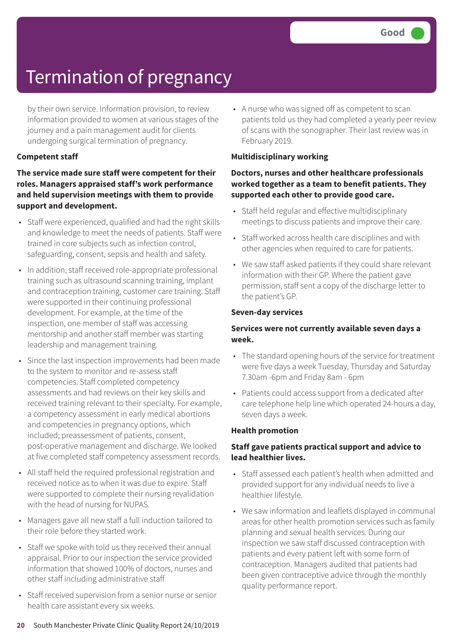by their own service. Information provision, to review information provided to women at various stages of the journey and a pain management audit for clients undergoing surgical termination of pregnancy.

### **Competent staff**

### **The service made sure staff were competent for their roles. Managers appraised staff's work performance and held supervision meetings with them to provide support and development.**

- Staff were experienced, qualified and had the right skills and knowledge to meet the needs of patients. Staff were trained in core subjects such as infection control, safeguarding, consent, sepsis and health and safety.
- In addition, staff received role-appropriate professional training such as ultrasound scanning training, implant and contraception training, customer care training. Staff were supported in their continuing professional development. For example, at the time of the inspection, one member of staff was accessing mentorship and another staff member was starting leadership and management training.
- Since the last inspection improvements had been made to the system to monitor and re-assess staff competencies. Staff completed competency assessments and had reviews on their key skills and received training relevant to their specialty. For example, a competency assessment in early medical abortions and competencies in pregnancy options, which included; preassessment of patients, consent, post-operative management and discharge. We looked at five completed staff competency assessment records.
- All staff held the required professional registration and received notice as to when it was due to expire. Staff were supported to complete their nursing revalidation with the head of nursing for NUPAS.
- Managers gave all new staff a full induction tailored to their role before they started work.
- Staff we spoke with told us they received their annual appraisal. Prior to our inspection the service provided information that showed 100% of doctors, nurses and other staff including administrative staff
- Staff received supervision from a senior nurse or senior health care assistant every six weeks.

• A nurse who was signed off as competent to scan patients told us they had completed a yearly peer review of scans with the sonographer. Their last review was in February 2019.

#### **Multidisciplinary working**

### **Doctors, nurses and other healthcare professionals worked together as a team to benefit patients. They supported each other to provide good care.**

- Staff held regular and effective multidisciplinary meetings to discuss patients and improve their care.
- Staff worked across health care disciplines and with other agencies when required to care for patients.
- We saw staff asked patients if they could share relevant information with their GP. Where the patient gave permission, staff sent a copy of the discharge letter to the patient's GP.

#### **Seven-day services**

### **Services were not currently available seven days a week.**

- The standard opening hours of the service for treatment were five days a week Tuesday, Thursday and Saturday 7.30am -6pm and Friday 8am - 6pm
- Patients could access support from a dedicated after care telephone help line which operated 24-hours a day, seven days a week.

#### **Health promotion**

### **Staff gave patients practical support and advice to lead healthier lives.**

- Staff assessed each patient's health when admitted and provided support for any individual needs to live a healthier lifestyle.
- We saw information and leaflets displayed in communal areas for other health promotion services such as family planning and sexual health services. During our inspection we saw staff discussed contraception with patients and every patient left with some form of contraception. Managers audited that patients had been given contraceptive advice through the monthly quality performance report.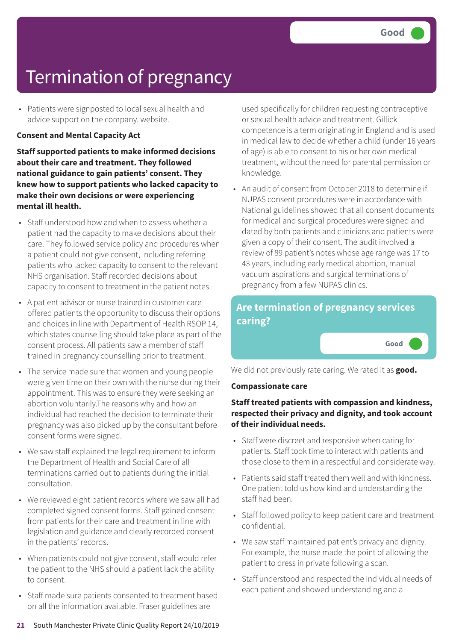• Patients were signposted to local sexual health and advice support on the company. website.

#### **Consent and Mental Capacity Act**

**Staff supported patients to make informed decisions about their care and treatment. They followed national guidance to gain patients' consent. They knew how to support patients who lacked capacity to make their own decisions or were experiencing mental ill health.**

- Staff understood how and when to assess whether a patient had the capacity to make decisions about their care. They followed service policy and procedures when a patient could not give consent, including referring patients who lacked capacity to consent to the relevant NHS organisation. Staff recorded decisions about capacity to consent to treatment in the patient notes.
- A patient advisor or nurse trained in customer care offered patients the opportunity to discuss their options and choices in line with Department of Health RSOP 14, which states counselling should take place as part of the consent process. All patients saw a member of staff trained in pregnancy counselling prior to treatment.
- The service made sure that women and young people were given time on their own with the nurse during their appointment. This was to ensure they were seeking an abortion voluntarily.The reasons why and how an individual had reached the decision to terminate their pregnancy was also picked up by the consultant before consent forms were signed.
- We saw staff explained the legal requirement to inform the Department of Health and Social Care of all terminations carried out to patients during the initial consultation.
- We reviewed eight patient records where we saw all had completed signed consent forms. Staff gained consent from patients for their care and treatment in line with legislation and guidance and clearly recorded consent in the patients' records.
- When patients could not give consent, staff would refer the patient to the NHS should a patient lack the ability to consent.
- Staff made sure patients consented to treatment based on all the information available. Fraser guidelines are

used specifically for children requesting contraceptive or sexual health advice and treatment. Gillick competence is a term originating in England and is used in medical law to decide whether a child (under 16 years of age) is able to consent to his or her own medical treatment, without the need for parental permission or knowledge.

• An audit of consent from October 2018 to determine if NUPAS consent procedures were in accordance with National guidelines showed that all consent documents for medical and surgical procedures were signed and dated by both patients and clinicians and patients were given a copy of their consent. The audit involved a review of 89 patient's notes whose age range was 17 to 43 years, including early medical abortion, manual vacuum aspirations and surgical terminations of pregnancy from a few NUPAS clinics.

### **Are termination of pregnancy services caring?**

**Good –––**

We did not previously rate caring. We rated it as **good.**

#### **Compassionate care**

### **Staff treated patients with compassion and kindness, respected their privacy and dignity, and took account of their individual needs.**

- Staff were discreet and responsive when caring for patients. Staff took time to interact with patients and those close to them in a respectful and considerate way.
- Patients said staff treated them well and with kindness. One patient told us how kind and understanding the staff had been.
- Staff followed policy to keep patient care and treatment confidential.
- We saw staff maintained patient's privacy and dignity. For example, the nurse made the point of allowing the patient to dress in private following a scan.
- Staff understood and respected the individual needs of each patient and showed understanding and a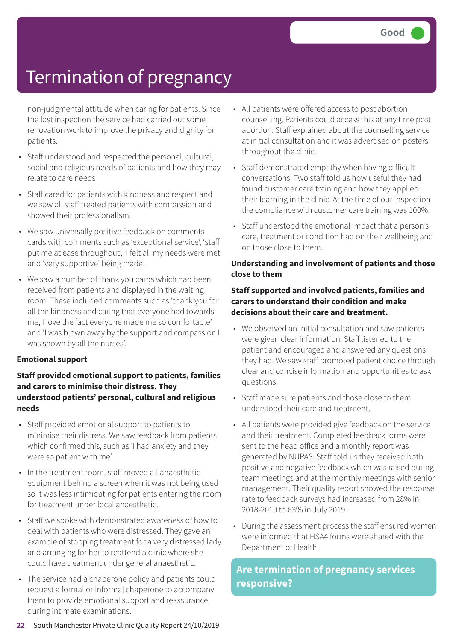non-judgmental attitude when caring for patients. Since the last inspection the service had carried out some renovation work to improve the privacy and dignity for patients.

- Staff understood and respected the personal, cultural, social and religious needs of patients and how they may relate to care needs
- Staff cared for patients with kindness and respect and we saw all staff treated patients with compassion and showed their professionalism.
- We saw universally positive feedback on comments cards with comments such as 'exceptional service', 'staff put me at ease throughout', 'I felt all my needs were met' and 'very supportive' being made.
- We saw a number of thank you cards which had been received from patients and displayed in the waiting room. These included comments such as 'thank you for all the kindness and caring that everyone had towards me, I love the fact everyone made me so comfortable' and 'I was blown away by the support and compassion I was shown by all the nurses'.

### **Emotional support**

### **Staff provided emotional support to patients, families and carers to minimise their distress. They understood patients' personal, cultural and religious needs**

- Staff provided emotional support to patients to minimise their distress. We saw feedback from patients which confirmed this, such as 'I had anxiety and they were so patient with me'.
- In the treatment room, staff moved all anaesthetic equipment behind a screen when it was not being used so it was less intimidating for patients entering the room for treatment under local anaesthetic.
- Staff we spoke with demonstrated awareness of how to deal with patients who were distressed. They gave an example of stopping treatment for a very distressed lady and arranging for her to reattend a clinic where she could have treatment under general anaesthetic.
- The service had a chaperone policy and patients could request a formal or informal chaperone to accompany them to provide emotional support and reassurance during intimate examinations.
- All patients were offered access to post abortion counselling. Patients could access this at any time post abortion. Staff explained about the counselling service at initial consultation and it was advertised on posters throughout the clinic.
- Staff demonstrated empathy when having difficult conversations. Two staff told us how useful they had found customer care training and how they applied their learning in the clinic. At the time of our inspection the compliance with customer care training was 100%.
- Staff understood the emotional impact that a person's care, treatment or condition had on their wellbeing and on those close to them.

#### **Understanding and involvement of patients and those close to them**

### **Staff supported and involved patients, families and carers to understand their condition and make decisions about their care and treatment.**

- We observed an initial consultation and saw patients were given clear information. Staff listened to the patient and encouraged and answered any questions they had. We saw staff promoted patient choice through clear and concise information and opportunities to ask questions.
- Staff made sure patients and those close to them understood their care and treatment.
- All patients were provided give feedback on the service and their treatment. Completed feedback forms were sent to the head office and a monthly report was generated by NUPAS. Staff told us they received both positive and negative feedback which was raised during team meetings and at the monthly meetings with senior management. Their quality report showed the response rate to feedback surveys had increased from 28% in 2018-2019 to 63% in July 2019.
- During the assessment process the staff ensured women were informed that HSA4 forms were shared with the Department of Health.

### **Are termination of pregnancy services responsive?**

**22** South Manchester Private Clinic Quality Report 24/10/2019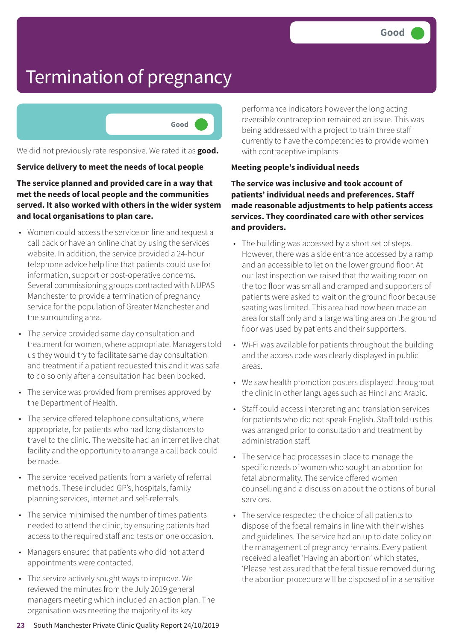

We did not previously rate responsive. We rated it as **good.**

#### **Service delivery to meet the needs of local people**

**The service planned and provided care in a way that met the needs of local people and the communities served. It also worked with others in the wider system and local organisations to plan care.**

- Women could access the service on line and request a call back or have an online chat by using the services website. In addition, the service provided a 24-hour telephone advice help line that patients could use for information, support or post-operative concerns. Several commissioning groups contracted with NUPAS Manchester to provide a termination of pregnancy service for the population of Greater Manchester and the surrounding area.
- The service provided same day consultation and treatment for women, where appropriate. Managers told us they would try to facilitate same day consultation and treatment if a patient requested this and it was safe to do so only after a consultation had been booked.
- The service was provided from premises approved by the Department of Health.
- The service offered telephone consultations, where appropriate, for patients who had long distances to travel to the clinic. The website had an internet live chat facility and the opportunity to arrange a call back could be made.
- The service received patients from a variety of referral methods. These included GP's, hospitals, family planning services, internet and self-referrals.
- The service minimised the number of times patients needed to attend the clinic, by ensuring patients had access to the required staff and tests on one occasion.
- Managers ensured that patients who did not attend appointments were contacted.
- The service actively sought ways to improve. We reviewed the minutes from the July 2019 general managers meeting which included an action plan. The organisation was meeting the majority of its key

performance indicators however the long acting reversible contraception remained an issue. This was being addressed with a project to train three staff currently to have the competencies to provide women with contraceptive implants.

#### **Meeting people's individual needs**

**The service was inclusive and took account of patients' individual needs and preferences. Staff made reasonable adjustments to help patients access services. They coordinated care with other services and providers.**

- The building was accessed by a short set of steps. However, there was a side entrance accessed by a ramp and an accessible toilet on the lower ground floor. At our last inspection we raised that the waiting room on the top floor was small and cramped and supporters of patients were asked to wait on the ground floor because seating was limited. This area had now been made an area for staff only and a large waiting area on the ground floor was used by patients and their supporters.
- Wi-Fi was available for patients throughout the building and the access code was clearly displayed in public areas.
- We saw health promotion posters displayed throughout the clinic in other languages such as Hindi and Arabic.
- Staff could access interpreting and translation services for patients who did not speak English. Staff told us this was arranged prior to consultation and treatment by administration staff.
- The service had processes in place to manage the specific needs of women who sought an abortion for fetal abnormality. The service offered women counselling and a discussion about the options of burial services.
- The service respected the choice of all patients to dispose of the foetal remains in line with their wishes and guidelines. The service had an up to date policy on the management of pregnancy remains. Every patient received a leaflet 'Having an abortion' which states, 'Please rest assured that the fetal tissue removed during the abortion procedure will be disposed of in a sensitive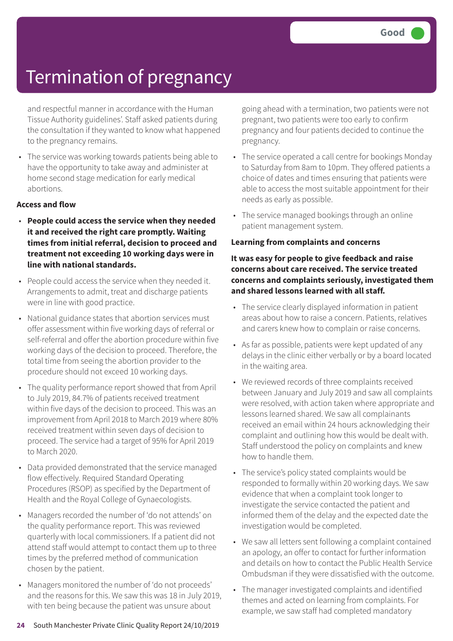and respectful manner in accordance with the Human Tissue Authority guidelines'. Staff asked patients during the consultation if they wanted to know what happened to the pregnancy remains.

• The service was working towards patients being able to have the opportunity to take away and administer at home second stage medication for early medical abortions.

#### **Access and flow**

- **People could access the service when they needed it and received the right care promptly. Waiting times from initial referral, decision to proceed and treatment not exceeding 10 working days were in line with national standards.**
- People could access the service when they needed it. Arrangements to admit, treat and discharge patients were in line with good practice.
- National guidance states that abortion services must offer assessment within five working days of referral or self-referral and offer the abortion procedure within five working days of the decision to proceed. Therefore, the total time from seeing the abortion provider to the procedure should not exceed 10 working days.
- The quality performance report showed that from April to July 2019, 84.7% of patients received treatment within five days of the decision to proceed. This was an improvement from April 2018 to March 2019 where 80% received treatment within seven days of decision to proceed. The service had a target of 95% for April 2019 to March 2020.
- Data provided demonstrated that the service managed flow effectively. Required Standard Operating Procedures (RSOP) as specified by the Department of Health and the Royal College of Gynaecologists.
- Managers recorded the number of 'do not attends' on the quality performance report. This was reviewed quarterly with local commissioners. If a patient did not attend staff would attempt to contact them up to three times by the preferred method of communication chosen by the patient.
- Managers monitored the number of 'do not proceeds' and the reasons for this. We saw this was 18 in July 2019, with ten being because the patient was unsure about

going ahead with a termination, two patients were not pregnant, two patients were too early to confirm pregnancy and four patients decided to continue the pregnancy.

- The service operated a call centre for bookings Monday to Saturday from 8am to 10pm. They offered patients a choice of dates and times ensuring that patients were able to access the most suitable appointment for their needs as early as possible.
- The service managed bookings through an online patient management system.

#### **Learning from complaints and concerns**

### **It was easy for people to give feedback and raise concerns about care received. The service treated concerns and complaints seriously, investigated them and shared lessons learned with all staff.**

- The service clearly displayed information in patient areas about how to raise a concern. Patients, relatives and carers knew how to complain or raise concerns.
- As far as possible, patients were kept updated of any delays in the clinic either verbally or by a board located in the waiting area.
- We reviewed records of three complaints received between January and July 2019 and saw all complaints were resolved, with action taken where appropriate and lessons learned shared. We saw all complainants received an email within 24 hours acknowledging their complaint and outlining how this would be dealt with. Staff understood the policy on complaints and knew how to handle them.
- The service's policy stated complaints would be responded to formally within 20 working days. We saw evidence that when a complaint took longer to investigate the service contacted the patient and informed them of the delay and the expected date the investigation would be completed.
- We saw all letters sent following a complaint contained an apology, an offer to contact for further information and details on how to contact the Public Health Service Ombudsman if they were dissatisfied with the outcome.
- The manager investigated complaints and identified themes and acted on learning from complaints. For example, we saw staff had completed mandatory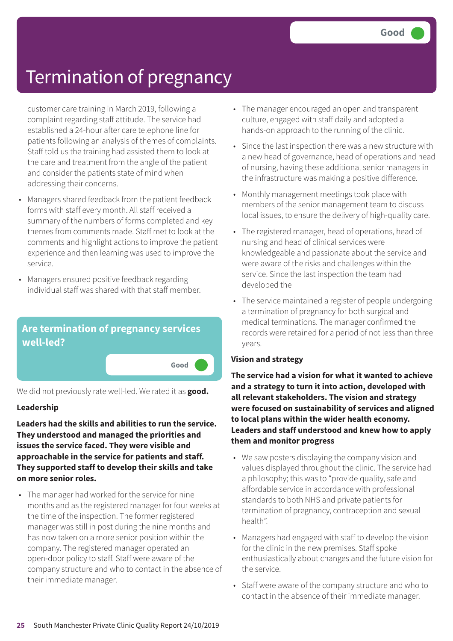customer care training in March 2019, following a complaint regarding staff attitude. The service had established a 24-hour after care telephone line for patients following an analysis of themes of complaints. Staff told us the training had assisted them to look at the care and treatment from the angle of the patient and consider the patients state of mind when addressing their concerns.

- Managers shared feedback from the patient feedback forms with staff every month. All staff received a summary of the numbers of forms completed and key themes from comments made. Staff met to look at the comments and highlight actions to improve the patient experience and then learning was used to improve the service.
- Managers ensured positive feedback regarding individual staff was shared with that staff member.



We did not previously rate well-led. We rated it as **good.**

### **Leadership**

**Leaders had the skills and abilities to run the service. They understood and managed the priorities and issues the service faced. They were visible and approachable in the service for patients and staff. They supported staff to develop their skills and take on more senior roles.**

• The manager had worked for the service for nine months and as the registered manager for four weeks at the time of the inspection. The former registered manager was still in post during the nine months and has now taken on a more senior position within the company. The registered manager operated an open-door policy to staff. Staff were aware of the company structure and who to contact in the absence of their immediate manager.

- The manager encouraged an open and transparent culture, engaged with staff daily and adopted a hands-on approach to the running of the clinic.
- Since the last inspection there was a new structure with a new head of governance, head of operations and head of nursing, having these additional senior managers in the infrastructure was making a positive difference.
- Monthly management meetings took place with members of the senior management team to discuss local issues, to ensure the delivery of high-quality care.
- The registered manager, head of operations, head of nursing and head of clinical services were knowledgeable and passionate about the service and were aware of the risks and challenges within the service. Since the last inspection the team had developed the
- The service maintained a register of people undergoing a termination of pregnancy for both surgical and medical terminations. The manager confirmed the records were retained for a period of not less than three years.

### **Vision and strategy**

**The service had a vision for what it wanted to achieve and a strategy to turn it into action, developed with all relevant stakeholders. The vision and strategy were focused on sustainability of services and aligned to local plans within the wider health economy. Leaders and staff understood and knew how to apply them and monitor progress**

- We saw posters displaying the company vision and values displayed throughout the clinic. The service had a philosophy; this was to "provide quality, safe and affordable service in accordance with professional standards to both NHS and private patients for termination of pregnancy, contraception and sexual health".
- Managers had engaged with staff to develop the vision for the clinic in the new premises. Staff spoke enthusiastically about changes and the future vision for the service.
- Staff were aware of the company structure and who to contact in the absence of their immediate manager.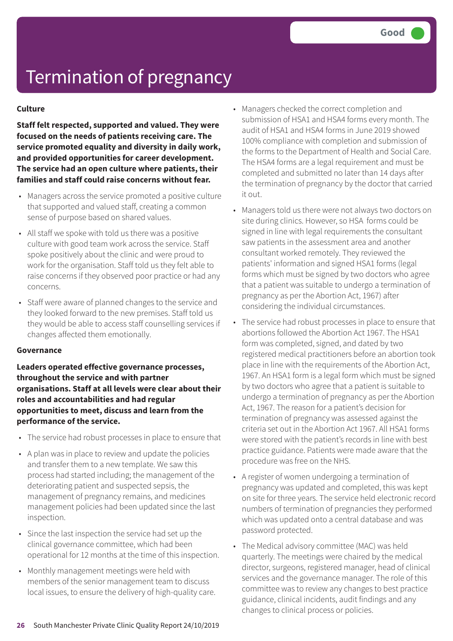#### **Culture**

**Staff felt respected, supported and valued. They were focused on the needs of patients receiving care. The service promoted equality and diversity in daily work, and provided opportunities for career development. The service had an open culture where patients, their families and staff could raise concerns without fear.**

- Managers across the service promoted a positive culture that supported and valued staff, creating a common sense of purpose based on shared values.
- All staff we spoke with told us there was a positive culture with good team work across the service. Staff spoke positively about the clinic and were proud to work for the organisation. Staff told us they felt able to raise concerns if they observed poor practice or had any concerns.
- Staff were aware of planned changes to the service and they looked forward to the new premises. Staff told us they would be able to access staff counselling services if changes affected them emotionally.

#### **Governance**

**Leaders operated effective governance processes, throughout the service and with partner organisations. Staff at all levels were clear about their roles and accountabilities and had regular opportunities to meet, discuss and learn from the performance of the service.**

- The service had robust processes in place to ensure that
- A plan was in place to review and update the policies and transfer them to a new template. We saw this process had started including; the management of the deteriorating patient and suspected sepsis, the management of pregnancy remains, and medicines management policies had been updated since the last inspection.
- Since the last inspection the service had set up the clinical governance committee, which had been operational for 12 months at the time of this inspection.
- Monthly management meetings were held with members of the senior management team to discuss local issues, to ensure the delivery of high-quality care.
- Managers checked the correct completion and submission of HSA1 and HSA4 forms every month. The audit of HSA1 and HSA4 forms in June 2019 showed 100% compliance with completion and submission of the forms to the Department of Health and Social Care. The HSA4 forms are a legal requirement and must be completed and submitted no later than 14 days after the termination of pregnancy by the doctor that carried it out.
- Managers told us there were not always two doctors on site during clinics. However, so HSA forms could be signed in line with legal requirements the consultant saw patients in the assessment area and another consultant worked remotely. They reviewed the patients' information and signed HSA1 forms (legal forms which must be signed by two doctors who agree that a patient was suitable to undergo a termination of pregnancy as per the Abortion Act, 1967) after considering the individual circumstances.
- The service had robust processes in place to ensure that abortions followed the Abortion Act 1967. The HSA1 form was completed, signed, and dated by two registered medical practitioners before an abortion took place in line with the requirements of the Abortion Act, 1967. An HSA1 form is a legal form which must be signed by two doctors who agree that a patient is suitable to undergo a termination of pregnancy as per the Abortion Act, 1967. The reason for a patient's decision for termination of pregnancy was assessed against the criteria set out in the Abortion Act 1967. All HSA1 forms were stored with the patient's records in line with best practice guidance. Patients were made aware that the procedure was free on the NHS.
- A register of women undergoing a termination of pregnancy was updated and completed, this was kept on site for three years. The service held electronic record numbers of termination of pregnancies they performed which was updated onto a central database and was password protected.
- The Medical advisory committee (MAC) was held quarterly. The meetings were chaired by the medical director, surgeons, registered manager, head of clinical services and the governance manager. The role of this committee was to review any changes to best practice guidance, clinical incidents, audit findings and any changes to clinical process or policies.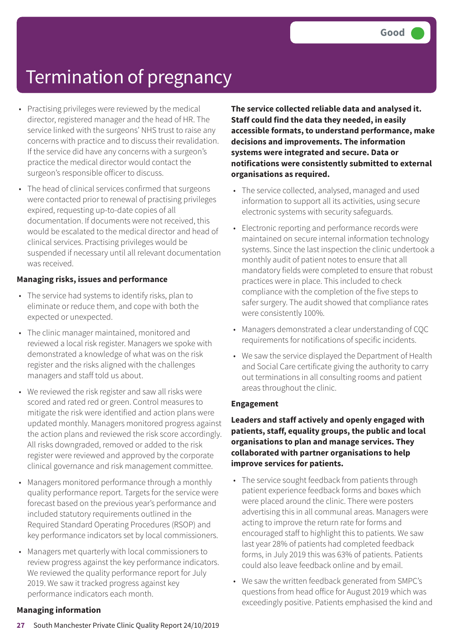- Practising privileges were reviewed by the medical director, registered manager and the head of HR. The service linked with the surgeons' NHS trust to raise any concerns with practice and to discuss their revalidation. If the service did have any concerns with a surgeon's practice the medical director would contact the surgeon's responsible officer to discuss.
- The head of clinical services confirmed that surgeons were contacted prior to renewal of practising privileges expired, requesting up-to-date copies of all documentation. If documents were not received, this would be escalated to the medical director and head of clinical services. Practising privileges would be suspended if necessary until all relevant documentation was received.

### **Managing risks, issues and performance**

- The service had systems to identify risks, plan to eliminate or reduce them, and cope with both the expected or unexpected.
- The clinic manager maintained, monitored and reviewed a local risk register. Managers we spoke with demonstrated a knowledge of what was on the risk register and the risks aligned with the challenges managers and staff told us about.
- We reviewed the risk register and saw all risks were scored and rated red or green. Control measures to mitigate the risk were identified and action plans were updated monthly. Managers monitored progress against the action plans and reviewed the risk score accordingly. All risks downgraded, removed or added to the risk register were reviewed and approved by the corporate clinical governance and risk management committee.
- Managers monitored performance through a monthly quality performance report. Targets for the service were forecast based on the previous year's performance and included statutory requirements outlined in the Required Standard Operating Procedures (RSOP) and key performance indicators set by local commissioners.
- Managers met quarterly with local commissioners to review progress against the key performance indicators. We reviewed the quality performance report for July 2019. We saw it tracked progress against key performance indicators each month.

### **Managing information**

**The service collected reliable data and analysed it. Staff could find the data they needed, in easily accessible formats, to understand performance, make decisions and improvements. The information systems were integrated and secure. Data or notifications were consistently submitted to external organisations as required.**

- The service collected, analysed, managed and used information to support all its activities, using secure electronic systems with security safeguards.
- Electronic reporting and performance records were maintained on secure internal information technology systems. Since the last inspection the clinic undertook a monthly audit of patient notes to ensure that all mandatory fields were completed to ensure that robust practices were in place. This included to check compliance with the completion of the five steps to safer surgery. The audit showed that compliance rates were consistently 100%.
- Managers demonstrated a clear understanding of CQC requirements for notifications of specific incidents.
- We saw the service displayed the Department of Health and Social Care certificate giving the authority to carry out terminations in all consulting rooms and patient areas throughout the clinic.

#### **Engagement**

**Leaders and staff actively and openly engaged with patients, staff, equality groups, the public and local organisations to plan and manage services. They collaborated with partner organisations to help improve services for patients.**

- The service sought feedback from patients through patient experience feedback forms and boxes which were placed around the clinic. There were posters advertising this in all communal areas. Managers were acting to improve the return rate for forms and encouraged staff to highlight this to patients. We saw last year 28% of patients had completed feedback forms, in July 2019 this was 63% of patients. Patients could also leave feedback online and by email.
- We saw the written feedback generated from SMPC's questions from head office for August 2019 which was exceedingly positive. Patients emphasised the kind and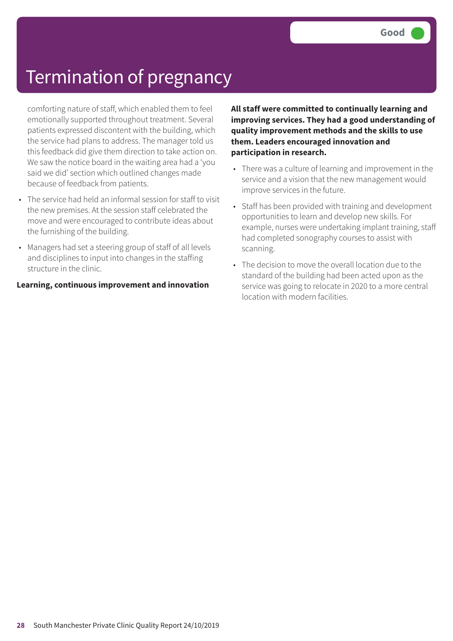comforting nature of staff, which enabled them to feel emotionally supported throughout treatment. Several patients expressed discontent with the building, which the service had plans to address. The manager told us this feedback did give them direction to take action on. We saw the notice board in the waiting area had a 'you said we did' section which outlined changes made because of feedback from patients.

- The service had held an informal session for staff to visit the new premises. At the session staff celebrated the move and were encouraged to contribute ideas about the furnishing of the building.
- Managers had set a steering group of staff of all levels and disciplines to input into changes in the staffing structure in the clinic.

**Learning, continuous improvement and innovation**

**All staff were committed to continually learning and improving services. They had a good understanding of quality improvement methods and the skills to use them. Leaders encouraged innovation and participation in research.**

- There was a culture of learning and improvement in the service and a vision that the new management would improve services in the future.
- Staff has been provided with training and development opportunities to learn and develop new skills. For example, nurses were undertaking implant training, staff had completed sonography courses to assist with scanning.
- The decision to move the overall location due to the standard of the building had been acted upon as the service was going to relocate in 2020 to a more central location with modern facilities.